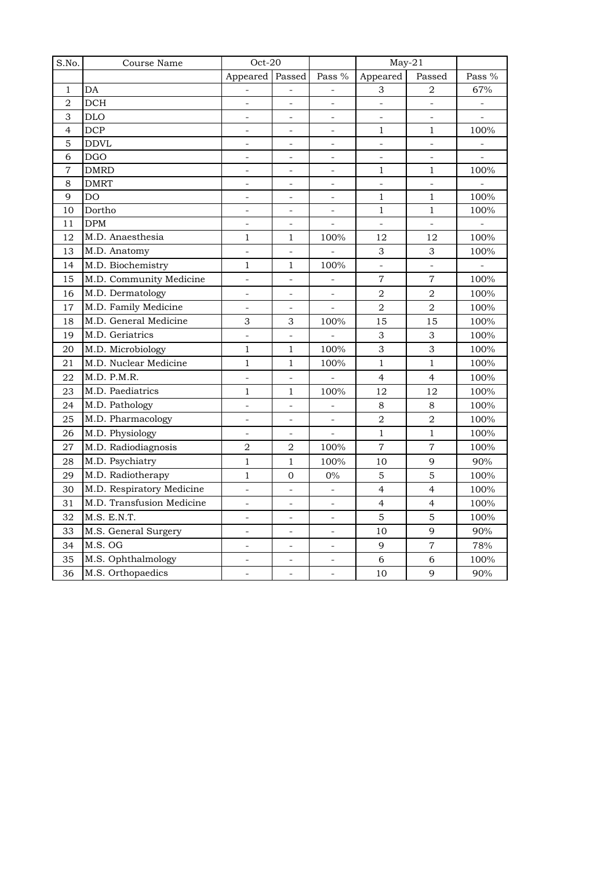| S.No.          | Course Name               | $Oct-20$                 |                              |                          | $May-21$                 |                          |                |
|----------------|---------------------------|--------------------------|------------------------------|--------------------------|--------------------------|--------------------------|----------------|
|                |                           | Appeared                 | Passed                       | Pass %                   | Appeared                 | Passed                   | Pass %         |
| $\mathbf{1}$   | DA                        |                          |                              |                          | 3                        | $\overline{2}$           | 67%            |
| $\overline{2}$ | <b>DCH</b>                |                          |                              |                          |                          |                          |                |
| 3              | <b>DLO</b>                |                          |                              |                          |                          |                          | $\overline{a}$ |
| $\overline{4}$ | <b>DCP</b>                |                          | L,                           |                          | $\mathbf{1}$             | $\mathbf{1}$             | 100%           |
| 5              | <b>DDVL</b>               | $\bar{\phantom{a}}$      | $\overline{a}$               | $\overline{\phantom{0}}$ | $\overline{a}$           | $\overline{a}$           | $\overline{a}$ |
| 6              | <b>DGO</b>                | $\blacksquare$           | $\frac{1}{2}$                | $\overline{\phantom{a}}$ | $\blacksquare$           | $\blacksquare$           | $\frac{1}{2}$  |
| 7              | <b>DMRD</b>               | $\blacksquare$           | $\qquad \qquad \blacksquare$ | $\overline{\phantom{m}}$ | $\mathbf{1}$             | $\mathbf{1}$             | 100%           |
| 8              | <b>DMRT</b>               | $\overline{a}$           | ÷,                           | $\blacksquare$           | $\overline{\phantom{0}}$ | $\overline{\phantom{a}}$ |                |
| 9              | <b>DO</b>                 | $\overline{a}$           |                              | $\frac{1}{2}$            | $\mathbf{1}$             | $1\,$                    | 100%           |
| 10             | Dortho                    | $\blacksquare$           | L,                           | $\frac{1}{2}$            | $\mathbf{1}$             | $1\,$                    | 100%           |
| 11             | <b>DPM</b>                | $\overline{\phantom{a}}$ | L                            |                          | $\overline{a}$           | $\overline{a}$           |                |
| 12             | M.D. Anaesthesia          | $\mathbf{1}$             | $\mathbf{1}$                 | 100%                     | 12                       | 12                       | 100%           |
| 13             | M.D. Anatomy              | $\overline{\phantom{a}}$ | $\overline{a}$               |                          | 3                        | 3                        | 100%           |
| 14             | M.D. Biochemistry         | $\mathbf{1}$             | $\mathbf{1}$                 | 100%                     | $\overline{\phantom{0}}$ | $\overline{a}$           |                |
| 15             | M.D. Community Medicine   | $\frac{1}{2}$            | $\overline{a}$               |                          | $\overline{7}$           | $\overline{7}$           | 100%           |
| 16             | M.D. Dermatology          | $\frac{1}{2}$            | $\overline{a}$               |                          | $\overline{2}$           | $\overline{2}$           | 100%           |
| 17             | M.D. Family Medicine      | $\overline{\phantom{a}}$ | L,                           |                          | $\overline{a}$           | $\overline{2}$           | 100%           |
| 18             | M.D. General Medicine     | 3                        | 3                            | 100%                     | 15                       | 15                       | 100%           |
| 19             | M.D. Geriatrics           | $\frac{1}{2}$            | $\overline{a}$               |                          | 3                        | 3                        | 100%           |
| 20             | M.D. Microbiology         | $1\,$                    | $\mathbf{1}$                 | 100%                     | 3                        | 3                        | 100%           |
| 21             | M.D. Nuclear Medicine     | $\mathbf{1}$             | $\mathbf{1}$                 | 100%                     | $\mathbf{1}$             | $\mathbf{1}$             | 100%           |
| 22             | M.D. P.M.R.               | $\blacksquare$           | $\overline{\phantom{a}}$     |                          | $\overline{4}$           | $\overline{4}$           | 100%           |
| 23             | M.D. Paediatrics          | $\mathbf{1}$             | $\mathbf{1}$                 | 100%                     | 12                       | 12                       | 100%           |
| 24             | M.D. Pathology            | $\frac{1}{2}$            | $\overline{a}$               |                          | 8                        | $\,8\,$                  | 100%           |
| 25             | M.D. Pharmacology         | $\overline{\phantom{a}}$ | $\overline{\phantom{a}}$     |                          | $\overline{a}$           | $\overline{2}$           | 100%           |
| 26             | M.D. Physiology           | $\blacksquare$           |                              |                          | $\mathbf{1}$             | $\mathbf 1$              | 100%           |
| 27             | M.D. Radiodiagnosis       | $\boldsymbol{2}$         | $\overline{2}$               | 100%                     | $\overline{7}$           | $\overline{7}$           | 100%           |
| 28             | M.D. Psychiatry           | $\mathbf{1}$             | $\mathbf{1}$                 | 100%                     | 10                       | 9                        | $90\%$         |
| 29             | M.D. Radiotherapy         | $1\,$                    | 0                            | $0\%$                    | $\mathbf 5$              | 5                        | 100%           |
| 30             | M.D. Respiratory Medicine | $\Box$                   | ÷,                           | $\overline{\phantom{a}}$ | $\overline{4}$           | $\overline{4}$           | 100%           |
| 31             | M.D. Transfusion Medicine | $\blacksquare$           | ÷,                           | $\overline{\phantom{a}}$ | $\overline{4}$           | $\overline{4}$           | 100%           |
| 32             | M.S. E.N.T.               | $\overline{\phantom{a}}$ | ÷,                           |                          | 5                        | 5                        | 100%           |
| 33             | M.S. General Surgery      |                          |                              |                          | 10                       | 9                        | 90%            |
| 34             | M.S. OG                   |                          |                              |                          | 9                        | $\overline{7}$           | 78%            |
| 35             | M.S. Ophthalmology        | $\qquad \qquad -$        | ÷,                           | $\blacksquare$           | 6                        | 6                        | 100%           |
| 36             | M.S. Orthopaedics         |                          |                              |                          | 10                       | 9                        | 90%            |